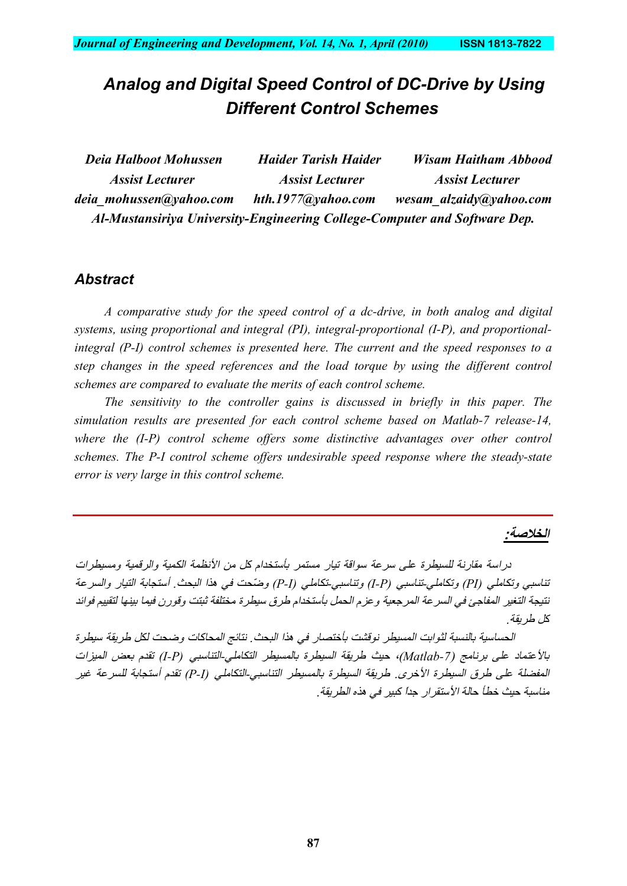# *Analog and Digital Speed Control of DC-Drive by Using Different Control Schemes*

| Deia Halboot Mohussen                                                     | <b>Haider Tarish Haider</b> | <b>Wisam Haitham Abbood</b> |
|---------------------------------------------------------------------------|-----------------------------|-----------------------------|
| <b>Assist Lecturer</b>                                                    | <b>Assist Lecturer</b>      | <b>Assist Lecturer</b>      |
| deia mohussen@yahoo.com                                                   | hth.1977@yahoo.com          | wesam alzaidy@yahoo.com     |
| Al-Mustansiriya University-Engineering College-Computer and Software Dep. |                             |                             |

### *Abstract*

*A comparative study for the speed control of a dc-drive, in both analog and digital systems, using proportional and integral (PI), integral-proportional (I-P), and proportionalintegral (P-I) control schemes is presented here. The current and the speed responses to a step changes in the speed references and the load torque by using the different control schemes are compared to evaluate the merits of each control scheme.*

*The sensitivity to the controller gains is discussed in briefly in this paper. The simulation results are presented for each control scheme based on Matlab-7 release-14, where the (I-P) control scheme offers some distinctive advantages over other control schemes. The P-I control scheme offers undesirable speed response where the steady-state error is very large in this control scheme.*

#### **الخلاصة:**

دراسة مقارنة للسیطرة على سرعة سواقة تیار مستمر بأستخدام كل من الأنظمة الكمیة والرقمیة ومسیطرات تناسبي وتكاملي *(PI (*وتكاملي-تناسبي *(P-I (*وتناسبي-تكاملي *(I-P (*وضّحت في ھذا البحث. أستجابة التیار والسرعة نتیجة التغیر المفاجئ في السرعة المرجعیة وعزم الحمل بأستخدام طرق سیطرة مختلفة ثبتت وقورن فیما بینھا لتقییم فوائد كل طریقة.

الحساسیة بالنسبة لثوابت المسیطر نوقشت بأختصار في ھذا البحث. نتائج المحاكات وضحت لكل طریقة سیطرة بالأعتماد على برنامج (*-7Matlab*(، حیث طریقة السیطرة بالمسیطر التكاملي-التناسبي *(P-I (*تقدم بعض المیزات المفضلة على طرق السیطرة الأخرى. طریقة السیطرة بالمسیطر التناسبي-التكاملي *(I-P (*تقدم أستجابة للسرعة غیر مناسبة حیث خطأ حالة الأستقرار جداً كبیر في ھذه الطریقة.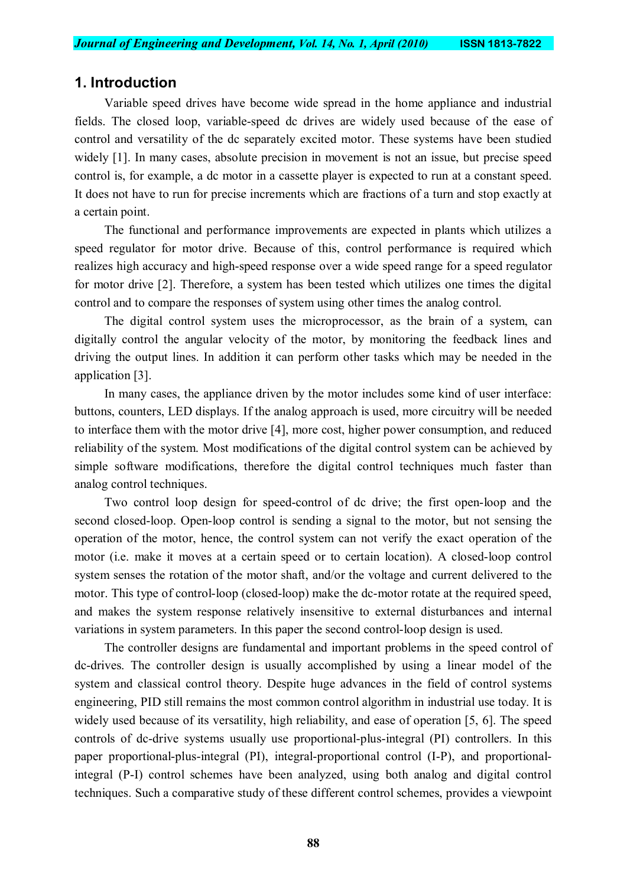### **1. Introduction**

Variable speed drives have become wide spread in the home appliance and industrial fields. The closed loop, variable-speed dc drives are widely used because of the ease of control and versatility of the dc separately excited motor. These systems have been studied widely [1]. In many cases, absolute precision in movement is not an issue, but precise speed control is, for example, a dc motor in a cassette player is expected to run at a constant speed. It does not have to run for precise increments which are fractions of a turn and stop exactly at a certain point.

The functional and performance improvements are expected in plants which utilizes a speed regulator for motor drive. Because of this, control performance is required which realizes high accuracy and high-speed response over a wide speed range for a speed regulator for motor drive [2]. Therefore, a system has been tested which utilizes one times the digital control and to compare the responses of system using other times the analog control.

The digital control system uses the microprocessor, as the brain of a system, can digitally control the angular velocity of the motor, by monitoring the feedback lines and driving the output lines. In addition it can perform other tasks which may be needed in the application [3].

In many cases, the appliance driven by the motor includes some kind of user interface: buttons, counters, LED displays. If the analog approach is used, more circuitry will be needed to interface them with the motor drive [4], more cost, higher power consumption, and reduced reliability of the system. Most modifications of the digital control system can be achieved by simple software modifications, therefore the digital control techniques much faster than analog control techniques.

Two control loop design for speed-control of dc drive; the first open-loop and the second closed-loop. Open-loop control is sending a signal to the motor, but not sensing the operation of the motor, hence, the control system can not verify the exact operation of the motor (i.e. make it moves at a certain speed or to certain location). A closed-loop control system senses the rotation of the motor shaft, and/or the voltage and current delivered to the motor. This type of control-loop (closed-loop) make the dc-motor rotate at the required speed, and makes the system response relatively insensitive to external disturbances and internal variations in system parameters. In this paper the second control-loop design is used.

The controller designs are fundamental and important problems in the speed control of dc-drives. The controller design is usually accomplished by using a linear model of the system and classical control theory. Despite huge advances in the field of control systems engineering, PID still remains the most common control algorithm in industrial use today. It is widely used because of its versatility, high reliability, and ease of operation [5, 6]. The speed controls of dc-drive systems usually use proportional-plus-integral (PI) controllers. In this paper proportional-plus-integral (PI), integral-proportional control (I-P), and proportionalintegral (P-I) control schemes have been analyzed, using both analog and digital control techniques. Such a comparative study of these different control schemes, provides a viewpoint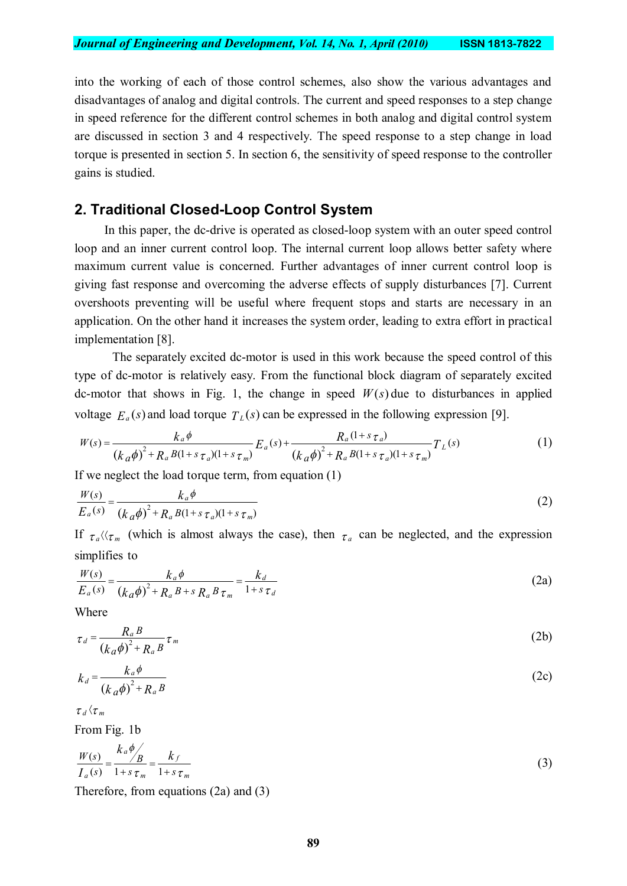into the working of each of those control schemes, also show the various advantages and disadvantages of analog and digital controls. The current and speed responses to a step change in speed reference for the different control schemes in both analog and digital control system are discussed in section 3 and 4 respectively. The speed response to a step change in load torque is presented in section 5. In section 6, the sensitivity of speed response to the controller gains is studied.

## **2. Traditional Closed-Loop Control System**

In this paper, the dc-drive is operated as closed-loop system with an outer speed control loop and an inner current control loop. The internal current loop allows better safety where maximum current value is concerned. Further advantages of inner current control loop is giving fast response and overcoming the adverse effects of supply disturbances [7]. Current overshoots preventing will be useful where frequent stops and starts are necessary in an application. On the other hand it increases the system order, leading to extra effort in practical implementation [8].

 The separately excited dc-motor is used in this work because the speed control of this type of dc-motor is relatively easy. From the functional block diagram of separately excited dc-motor that shows in Fig. 1, the change in speed  $W(s)$  due to disturbances in applied voltage  $E_a(s)$  and load torque  $T_b(s)$  can be expressed in the following expression [9].

$$
W(s) = \frac{k_a \phi}{(k_a \phi)^2 + R_a B(1 + s \tau_a)(1 + s \tau_m)} E_a(s) + \frac{R_a (1 + s \tau_a)}{(k_a \phi)^2 + R_a B(1 + s \tau_a)(1 + s \tau_m)} T_L(s)
$$
(1)

If we neglect the load torque term, from equation (1)

$$
\frac{W(s)}{E_a(s)} = \frac{k_a \phi}{(k_a \phi)^2 + R_a B(1 + s \tau_a)(1 + s \tau_m)}
$$
(2)

If  $\tau_a \langle \tau_m \rangle$  (which is almost always the case), then  $\tau_a$  can be neglected, and the expression simplifies to

$$
\frac{W(s)}{E_a(s)} = \frac{k_a \phi}{\left(k_a \phi\right)^2 + R_a B + s R_a B \tau_m} = \frac{k_d}{1 + s \tau_d}
$$
\n(2a)

Where

$$
\tau_d = \frac{R_a B}{\left(k_a \phi\right)^2 + R_a B} \tau_m \tag{2b}
$$

$$
k_d = \frac{k_a \phi}{\left(k_a \phi\right)^2 + R_a B} \tag{2c}
$$

 $\tau$ <sub>*d</sub>*  $\langle \tau_m$ </sub>

From Fig. 1b

$$
\frac{W(s)}{I_a(s)} = \frac{k_a \phi}{1 + s \tau_m} = \frac{k_f}{1 + s \tau_m}
$$
\n(3)

Therefore, from equations (2a) and (3)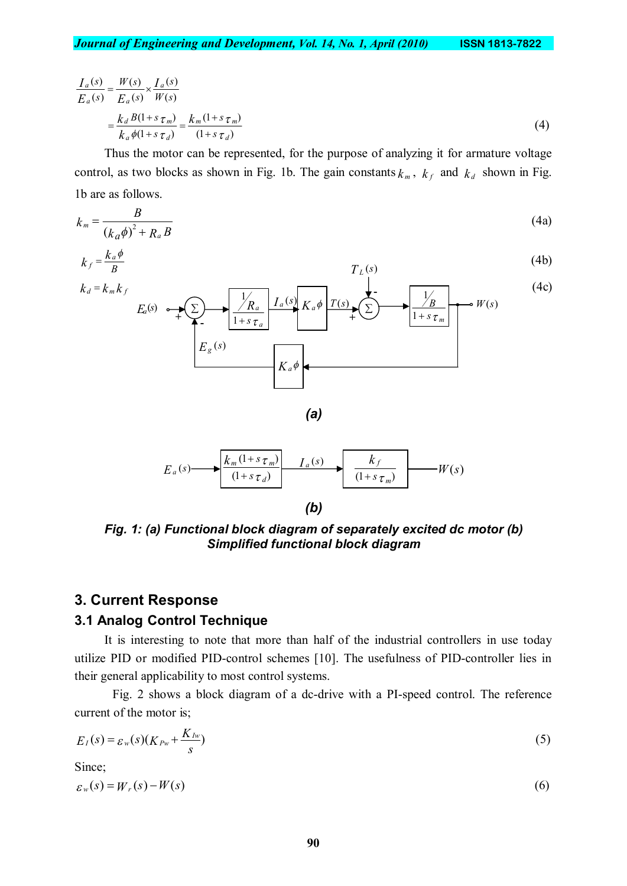$$
\frac{I_a(s)}{E_a(s)} = \frac{W(s)}{E_a(s)} \times \frac{I_a(s)}{W(s)}
$$

$$
= \frac{k_d B(1+s\tau_m)}{k_a \phi(1+s\tau_d)} = \frac{k_m (1+s\tau_m)}{(1+s\tau_d)}
$$
(4)

Thus the motor can be represented, for the purpose of analyzing it for armature voltage control, as two blocks as shown in Fig. 1b. The gain constants  $k_m$ ,  $k_f$  and  $k_d$  shown in Fig. 1b are as follows.

$$
k_m = \frac{B}{\left(k_a \phi\right)^2 + R_a B} \tag{4a}
$$

$$
k_f = \frac{k_a \phi}{B} \tag{4b}
$$





*Fig. 1: (a) Functional block diagram of separately excited dc motor (b) Simplified functional block diagram*

### **3. Current Response**

#### **3.1 Analog Control Technique**

It is interesting to note that more than half of the industrial controllers in use today utilize PID or modified PID-control schemes [10]. The usefulness of PID-controller lies in their general applicability to most control systems.

Fig. 2 shows a block diagram of a dc-drive with a PI-speed control. The reference current of the motor is;

$$
E_I(s) = \varepsilon_w(s)(K_{Pw} + \frac{K_{Iw}}{s})
$$
\n<sup>(5)</sup>

Since;

$$
\varepsilon_w(s) = W_r(s) - W(s) \tag{6}
$$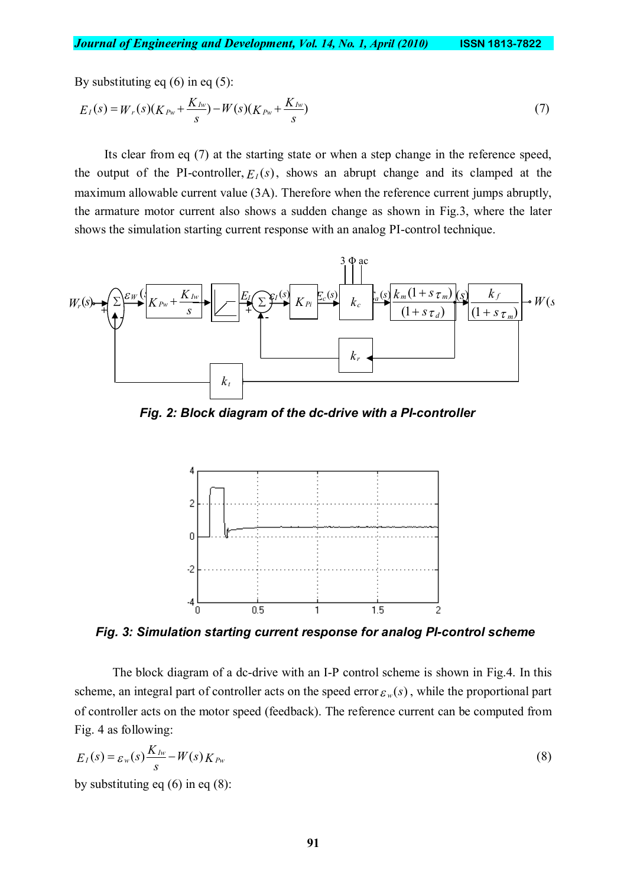By substituting eq  $(6)$  in eq  $(5)$ :

$$
E_I(s) = W_r(s)(K_{Pw} + \frac{K_{Iw}}{s}) - W(s)(K_{Pw} + \frac{K_{Iw}}{s})
$$
\n(7)

Its clear from eq (7) at the starting state or when a step change in the reference speed, the output of the PI-controller,  $E_I(s)$ , shows an abrupt change and its clamped at the maximum allowable current value (3A). Therefore when the reference current jumps abruptly, the armature motor current also shows a sudden change as shown in Fig.3, where the later shows the simulation starting current response with an analog PI-control technique.



*Fig. 2: Block diagram of the dc-drive with a PI-controller*



*Fig. 3: Simulation starting current response for analog PI-control scheme*

The block diagram of a dc-drive with an I-P control scheme is shown in Fig.4. In this scheme, an integral part of controller acts on the speed error  $\varepsilon_w(s)$ , while the proportional part of controller acts on the motor speed (feedback). The reference current can be computed from Fig. 4 as following:

$$
E_I(s) = \varepsilon_w(s) \frac{K_{Iw}}{s} - W(s) K_{Pw}
$$
\n(8)

by substituting eq  $(6)$  in eq  $(8)$ :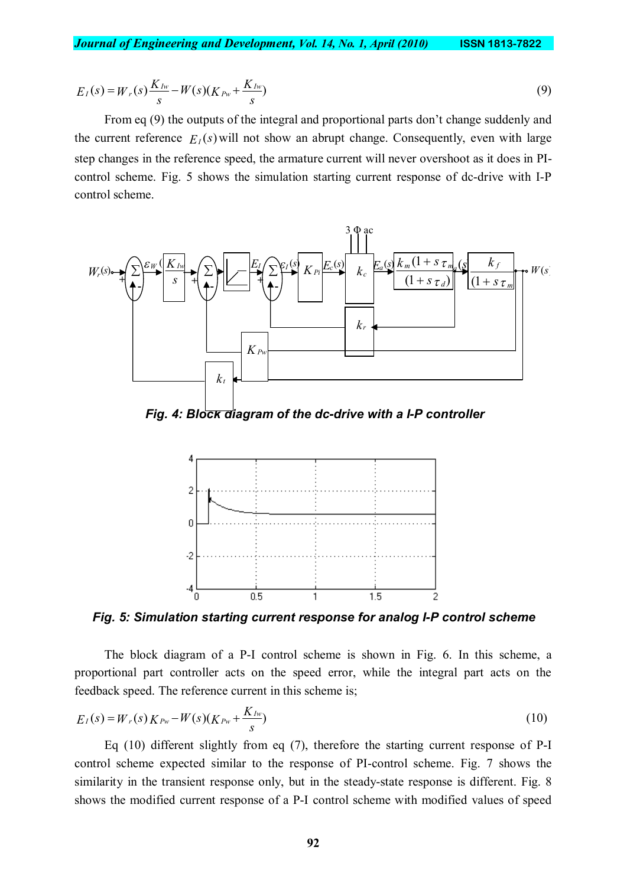$$
E_I(s) = W_r(s) \frac{K_{Iw}}{s} - W(s)(K_{Pw} + \frac{K_{Iw}}{s})
$$
\n(9)

From eq (9) the outputs of the integral and proportional parts don't change suddenly and the current reference  $F_{I}(s)$  will not show an abrupt change. Consequently, even with large step changes in the reference speed, the armature current will never overshoot as it does in PIcontrol scheme. Fig. 5 shows the simulation starting current response of dc-drive with I-P control scheme.



*Fig. 4: Block diagram of the dc-drive with a I-P controller*



*Fig. 5: Simulation starting current response for analog I-P control scheme*

The block diagram of a P-I control scheme is shown in Fig. 6. In this scheme, a proportional part controller acts on the speed error, while the integral part acts on the feedback speed. The reference current in this scheme is;

$$
E_I(s) = W_r(s) K_{Pw} - W(s) (K_{Pw} + \frac{K_{Iw}}{s})
$$
\n(10)

Eq (10) different slightly from eq (7), therefore the starting current response of P-I control scheme expected similar to the response of PI-control scheme. Fig. 7 shows the similarity in the transient response only, but in the steady-state response is different. Fig. 8 shows the modified current response of a P-I control scheme with modified values of speed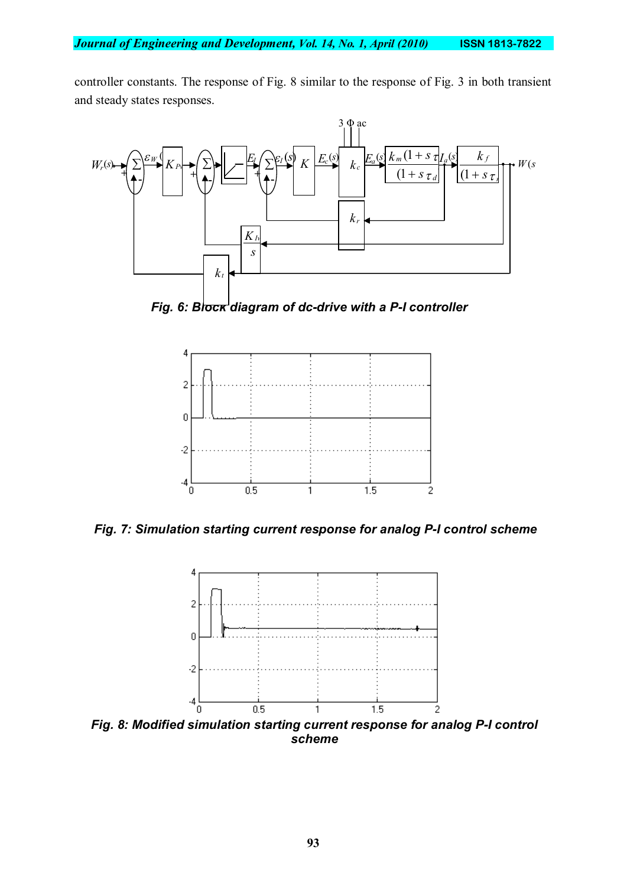controller constants. The response of Fig. 8 similar to the response of Fig. 3 in both transient and steady states responses.



*Fig. 6: Block diagram of dc-drive with a P-I controller*



*Fig. 7: Simulation starting current response for analog P-I control scheme*



*Fig. 8: Modified simulation starting current response for analog P-I control scheme*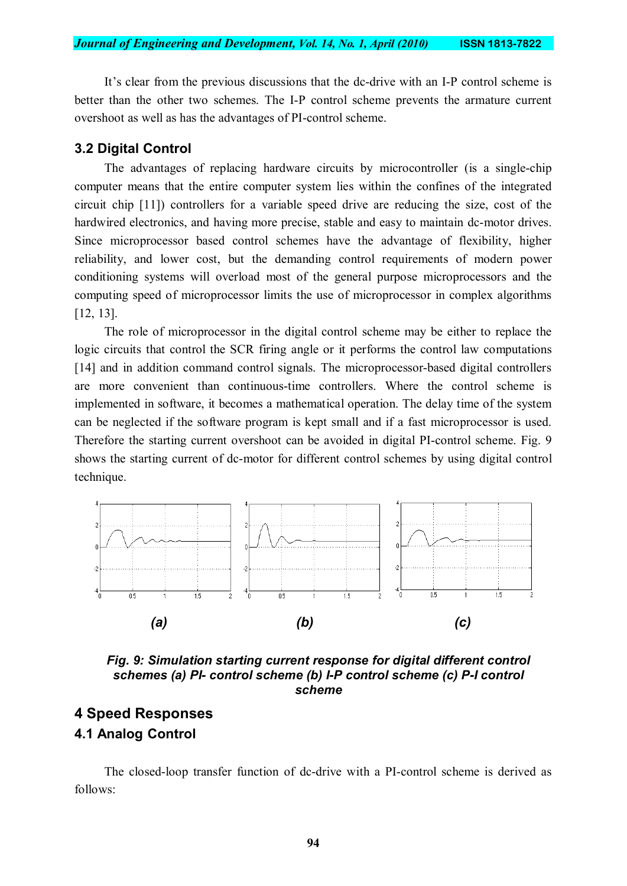It's clear from the previous discussions that the dc-drive with an I-P control scheme is better than the other two schemes. The I-P control scheme prevents the armature current overshoot as well as has the advantages of PI-control scheme.

#### **3.2 Digital Control**

The advantages of replacing hardware circuits by microcontroller (is a single-chip computer means that the entire computer system lies within the confines of the integrated circuit chip [11]) controllers for a variable speed drive are reducing the size, cost of the hardwired electronics, and having more precise, stable and easy to maintain dc-motor drives. Since microprocessor based control schemes have the advantage of flexibility, higher reliability, and lower cost, but the demanding control requirements of modern power conditioning systems will overload most of the general purpose microprocessors and the computing speed of microprocessor limits the use of microprocessor in complex algorithms [12, 13].

The role of microprocessor in the digital control scheme may be either to replace the logic circuits that control the SCR firing angle or it performs the control law computations [14] and in addition command control signals. The microprocessor-based digital controllers are more convenient than continuous-time controllers. Where the control scheme is implemented in software, it becomes a mathematical operation. The delay time of the system can be neglected if the software program is kept small and if a fast microprocessor is used. Therefore the starting current overshoot can be avoided in digital PI-control scheme. Fig. 9 shows the starting current of dc-motor for different control schemes by using digital control technique.



*Fig. 9: Simulation starting current response for digital different control schemes (a) PI- control scheme (b) I-P control scheme (c) P-I control scheme*

## **4 Speed Responses 4.1 Analog Control**

The closed-loop transfer function of dc-drive with a PI-control scheme is derived as follows: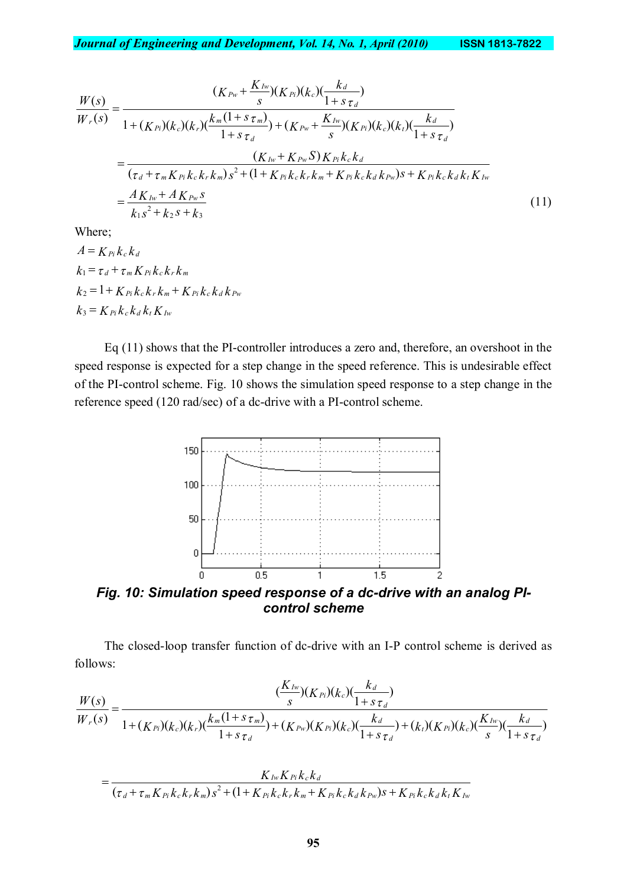$$
\frac{W(s)}{W_r(s)} = \frac{(K_{Pw} + \frac{K_{Iw}}{s})(K_{Pi})(k_c)(\frac{k_d}{1+s\tau_d})}{1 + (K_{Pi})(k_c)(k_r)(\frac{k_m(1+s\tau_m)}{1+s\tau_d}) + (K_{Pw} + \frac{K_{Iw}}{s})(K_{Pi})(k_c)(k_t)(\frac{k_d}{1+s\tau_d})}
$$
\n
$$
= \frac{(K_{Iw} + K_{Pw}S)K_{Pi}k_c k_d}{(\tau_d + \tau_m K_{Pi}k_c k_r k_m)s^2 + (1 + K_{Pi}k_c k_r k_m + K_{Pi}k_c k_d k_{Pw})s + K_{Pi}k_c k_d k_t K_{Iw}}
$$
\n
$$
= \frac{AK_{Iw} + AK_{Pw}s}{k_1s^2 + k_2s + k_3}
$$
\n(11)

Where;

=

$$
A = K_{Pi} k_c k_d
$$
  
\n
$$
k_1 = \tau_d + \tau_m K_{Pi} k_c k_r k_m
$$
  
\n
$$
k_2 = 1 + K_{Pi} k_c k_r k_m + K_{Pi} k_c k_d k_{Pw}
$$
  
\n
$$
k_3 = K_{Pi} k_c k_d k_t K_{Iw}
$$

Eq (11) shows that the PI-controller introduces a zero and, therefore, an overshoot in the speed response is expected for a step change in the speed reference. This is undesirable effect of the PI-control scheme. Fig. 10 shows the simulation speed response to a step change in the reference speed (120 rad/sec) of a dc-drive with a PI-control scheme.



The closed-loop transfer function of dc-drive with an I-P control scheme is derived as follows:

$$
\frac{W(s)}{W_r(s)} = \frac{(\frac{K_{Iw}}{s})(K_{Pi})(k_c)(\frac{k_d}{1+s\tau_d})}{1+(K_{Pi})(k_c)(k_r)(\frac{k_m(1+s\tau_m)}{1+s\tau_d})+(K_{Pw})(K_{Pi})(k_c)(\frac{k_d}{1+s\tau_d})+(k_t)(K_{Pi})(k_c)(\frac{K_{Iw}}{s})(\frac{k_d}{1+s\tau_d})}
$$

$$
=\frac{K_{Iw}K_{Pi}k_{c}k_{d}}{(\tau_{d}+\tau_{m}K_{Pi}k_{c}k_{r}k_{m})s^{2}+(1+K_{Pi}k_{c}k_{r}k_{m}+K_{Pi}k_{c}k_{d}k_{Pw})s+K_{Pi}k_{c}k_{d}k_{t}K_{Iw}}
$$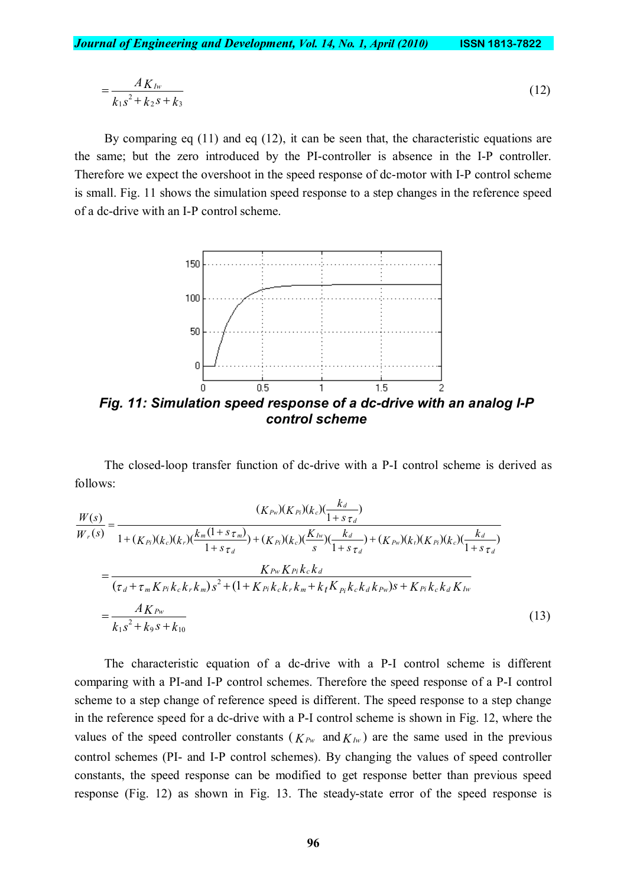$$
=\frac{AK_{Iw}}{k_1s^2+k_2s+k_3}
$$
 (12)

By comparing eq (11) and eq (12), it can be seen that, the characteristic equations are the same; but the zero introduced by the PI-controller is absence in the I-P controller. Therefore we expect the overshoot in the speed response of dc-motor with I-P control scheme is small. Fig. 11 shows the simulation speed response to a step changes in the reference speed of a dc-drive with an I-P control scheme.



*Fig. 11: Simulation speed response of a dc-drive with an analog I-P control scheme*

The closed-loop transfer function of dc-drive with a P-I control scheme is derived as follows:

$$
\frac{W(s)}{W_r(s)} = \frac{(K_{Pw})(K_{Pi})(k_c)(\frac{k_d}{1+s\tau_d})}{1 + (K_{Pi})(k_c)(k_r)(\frac{k_m(1+s\tau_m)}{1+s\tau_d}) + (K_{Pi})(k_c)(\frac{K_{Iw}}{s})(\frac{k_d}{1+s\tau_d}) + (K_{Pw})(k_t)(K_{Pi})(k_c)(\frac{k_d}{1+s\tau_d})}
$$
\n
$$
= \frac{K_{Pw}K_{Pi}k_ck_d}{(\tau_d + \tau_m K_{Pi}k_c k_r k_m)s^2 + (1 + K_{Pi}k_c k_r k_m + k_t K_{Pi}k_c k_d k_{Pw})s + K_{Pi}k_c k_d K_{Iw}}
$$
\n
$$
= \frac{AK_{Pw}}{k_1s^2 + k_9s + k_{10}}
$$
\n(13)

The characteristic equation of a dc-drive with a P-I control scheme is different comparing with a PI-and I-P control schemes. Therefore the speed response of a P-I control scheme to a step change of reference speed is different. The speed response to a step change in the reference speed for a dc-drive with a P-I control scheme is shown in Fig. 12, where the values of the speed controller constants ( $K_{Pw}$  and  $K_{Iw}$ ) are the same used in the previous control schemes (PI- and I-P control schemes). By changing the values of speed controller constants, the speed response can be modified to get response better than previous speed response (Fig. 12) as shown in Fig. 13. The steady-state error of the speed response is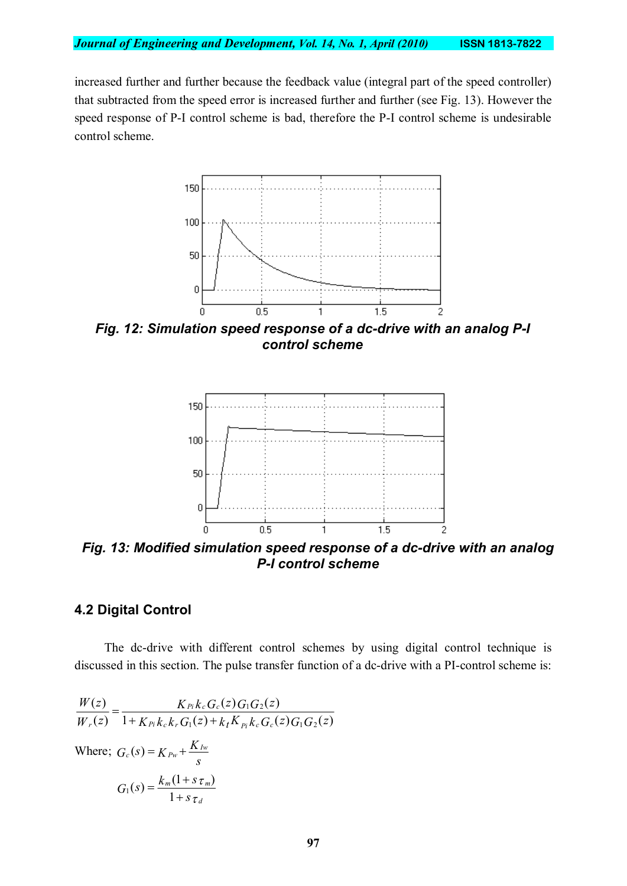increased further and further because the feedback value (integral part of the speed controller) that subtracted from the speed error is increased further and further (see Fig. 13). However the speed response of P-I control scheme is bad, therefore the P-I control scheme is undesirable control scheme.



*Fig. 12: Simulation speed response of a dc-drive with an analog P-I control scheme*



*Fig. 13: Modified simulation speed response of a dc-drive with an analog P-I control scheme*

## **4.2 Digital Control**

The dc-drive with different control schemes by using digital control technique is discussed in this section. The pulse transfer function of a dc-drive with a PI-control scheme is:

$$
\frac{W(z)}{W_r(z)} = \frac{K_{Pi}k_c G_c(z)G_1G_2(z)}{1 + K_{Pi}k_c k_r G_1(z) + k_t K_{Pi}k_c G_c(z)G_1G_2(z)}
$$
  
Where;  $G_c(s) = K_{Pw} + \frac{K_{Iw}}{s}$   

$$
G_1(s) = \frac{k_m(1 + s_{\tau_m})}{1 + s_{\tau_d}}
$$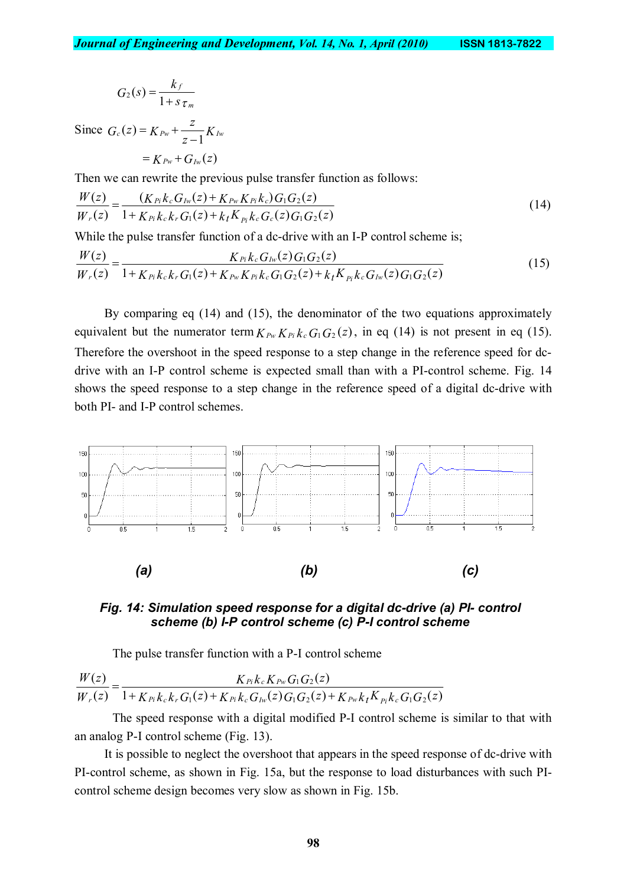$$
G_2(s) = \frac{k_f}{1 + s \tau_m}
$$

Since  $G_c(z) = K_{Pw} + \frac{z}{z-1}K$  $G_c(z) = K_{Pw} + \frac{z}{z-1} K_{Iw}$ -  $= K_{Pw} +$  $= K_{Pw} + G_{Iw}(z)$ 

Then we can rewrite the previous pulse transfer function as follows:

$$
\frac{W(z)}{W_r(z)} = \frac{(K_{Pi}k_cG_{Iw}(z) + K_{Pw}K_{Pi}k_c)G_1G_2(z)}{1 + K_{Pi}k_ck_rG_1(z) + k_tK_{Pi}k_cG_c(z)G_1G_2(z)}
$$
\n(14)

While the pulse transfer function of a dc-drive with an I-P control scheme is;

$$
\frac{W(z)}{W_r(z)} = \frac{K_{Pi}k_c G_{Iw}(z)G_1G_2(z)}{1 + K_{Pi}k_c k_r G_1(z) + K_{Pw} K_{Pi}k_c G_1G_2(z) + k_t K_{Pi}k_c G_{Iw}(z)G_1G_2(z)}
$$
(15)

By comparing eq (14) and (15), the denominator of the two equations approximately equivalent but the numerator term  $K_{Pw} K_{Pi} k_c G_1 G_2(z)$ , in eq (14) is not present in eq (15). Therefore the overshoot in the speed response to a step change in the reference speed for dcdrive with an I-P control scheme is expected small than with a PI-control scheme. Fig. 14 shows the speed response to a step change in the reference speed of a digital dc-drive with both PI- and I-P control schemes.



*Fig. 14: Simulation speed response for a digital dc-drive (a) PI- control scheme (b) I-P control scheme (c) P-I control scheme*

The pulse transfer function with a P-I control scheme

 $1+K_{Pi}k_{c}k_{r}G_{1}(z)+K_{Pi}k_{c}G_{lw}(z)G_{1}G_{2}(z)+K_{Pw}k_{t}K_{pi}k_{c}G_{1}G_{2}(z)$  $(z)$  $(z)$  $(z)$  $_1$ (4)  $\top$   $\Lambda$  Pi Kc  $\mathrm{U}_{I\mathrm{W}}$ (4)  $\mathrm{U}_1$ (J2(4)  $\top$   $\Lambda$  Pw K t  $\Lambda$   $_{Pl}$  Kc (J1(J2  $1$ **U**<sub>2</sub>  $K_{Pi}k_{c}k_{r}G_{1}(z)$  +  $K_{Pi}k_{c}G_{Iw}(z)G_{1}G_{2}(z)$  +  $K_{Pw}k_{t}K_{Pi}k_{c}G_{1}G_{2}(z)$  $K$   $P_i$   $K$   $P_w$   $G_1$   $G_2$   $(z$  $W_r(z)$  $W(z)$  $P_i$   $K_c$   $K_r$   $G_1$ ( $\geq$ )  $\pm$   $K$   $P_i$   $K_c$   $G_{Iw}$ ( $\geq$ )  $G_1$  $G_2$ ( $\geq$ )  $\pm$   $K$   $P_w$  $K_t$  $\Lambda$   $_{Pl}$  $K_c$ *Pi c Pw*  $F_r(z)$   $1 + K_{Pi} k_c k_r G_1(z) + K_{Pi} k_c G_{Iw}(z) G_1 G_2(z) + K_{Pw} k_t$ =

The speed response with a digital modified P-I control scheme is similar to that with an analog P-I control scheme (Fig. 13).

It is possible to neglect the overshoot that appears in the speed response of dc-drive with PI-control scheme, as shown in Fig. 15a, but the response to load disturbances with such PIcontrol scheme design becomes very slow as shown in Fig. 15b.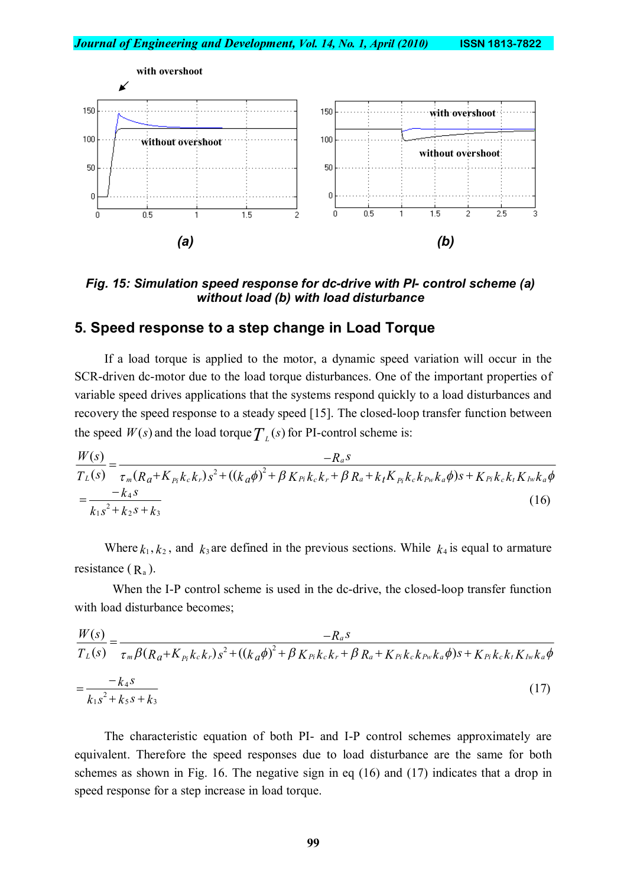

*Fig. 15: Simulation speed response for dc-drive with PI- control scheme (a) without load (b) with load disturbance*

#### **5. Speed response to a step change in Load Torque**

If a load torque is applied to the motor, a dynamic speed variation will occur in the SCR-driven dc-motor due to the load torque disturbances. One of the important properties of variable speed drives applications that the systems respond quickly to a load disturbances and recovery the speed response to a steady speed [15]. The closed-loop transfer function between the speed  $W(s)$  and the load torque  $T<sub>L</sub>(s)$  for PI-control scheme is:

$$
\frac{W(s)}{T_L(s)} = \frac{-R_a s}{\tau_m (R_a + K_{p_i} k_c k_r) s^2 + ((k_a \phi)^2 + \beta K_{p_i} k_c k_r + \beta R_a + k_t K_{p_i} k_c k_{Pw} k_a \phi) s + K_{p_i} k_c k_t K_{Iw} k_a \phi}
$$
\n
$$
= \frac{-k_4 s}{k_1 s^2 + k_2 s + k_3} \tag{16}
$$

Where  $k_1, k_2$ , and  $k_3$  are defined in the previous sections. While  $k_4$  is equal to armature resistance  $(R_a)$ .

When the I-P control scheme is used in the dc-drive, the closed-loop transfer function with load disturbance becomes;

$$
\frac{W(s)}{T_L(s)} = \frac{-R_a s}{\tau_m \beta (R_a + K_{p_i} k_c k_r) s^2 + ((k_a \phi)^2 + \beta K_{p_i} k_c k_r + \beta R_a + K_{p_i} k_c k_{p_w} k_a \phi) s + K_{p_i} k_c k_t K_{lw} k_a \phi}
$$
\n
$$
= \frac{-k_4 s}{k_1 s^2 + k_5 s + k_3} \tag{17}
$$

The characteristic equation of both PI- and I-P control schemes approximately are equivalent. Therefore the speed responses due to load disturbance are the same for both schemes as shown in Fig. 16. The negative sign in eq (16) and (17) indicates that a drop in speed response for a step increase in load torque.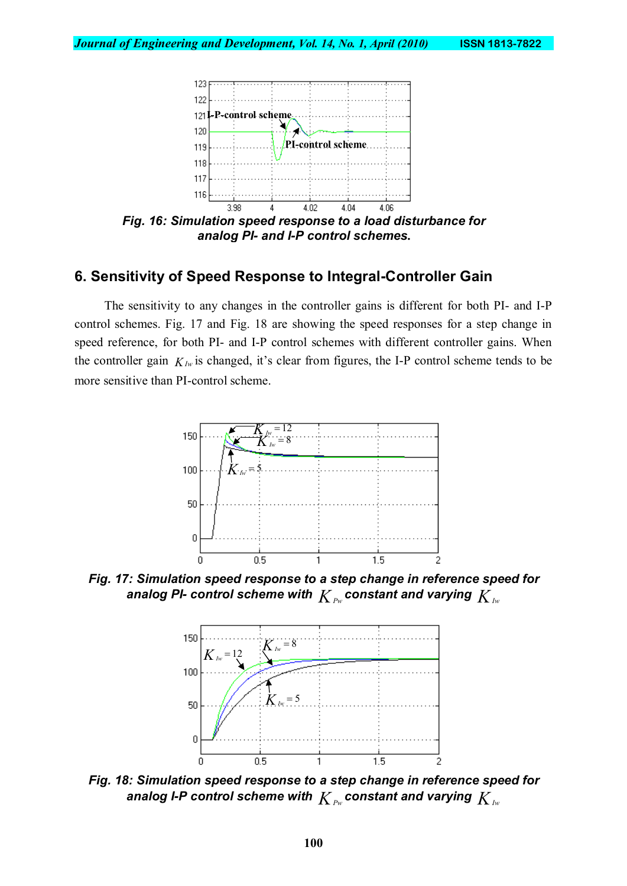

*Fig. 16: Simulation speed response to a load disturbance for analog PI- and I-P control schemes***.**

## **6. Sensitivity of Speed Response to Integral-Controller Gain**

The sensitivity to any changes in the controller gains is different for both PI- and I-P control schemes. Fig. 17 and Fig. 18 are showing the speed responses for a step change in speed reference, for both PI- and I-P control schemes with different controller gains. When the controller gain  $K_{Iw}$  is changed, it's clear from figures, the I-P control scheme tends to be more sensitive than PI-control scheme.



*Fig. 17: Simulation speed response to a step change in reference speed for* analog PI- control scheme with  $K_{Pw}$  constant and varying  $K_{Iw}$ 



*Fig. 18: Simulation speed response to a step change in reference speed for* analog *I-P control scheme with*  $K_{Pw}$  constant and varying  $K_{Iw}$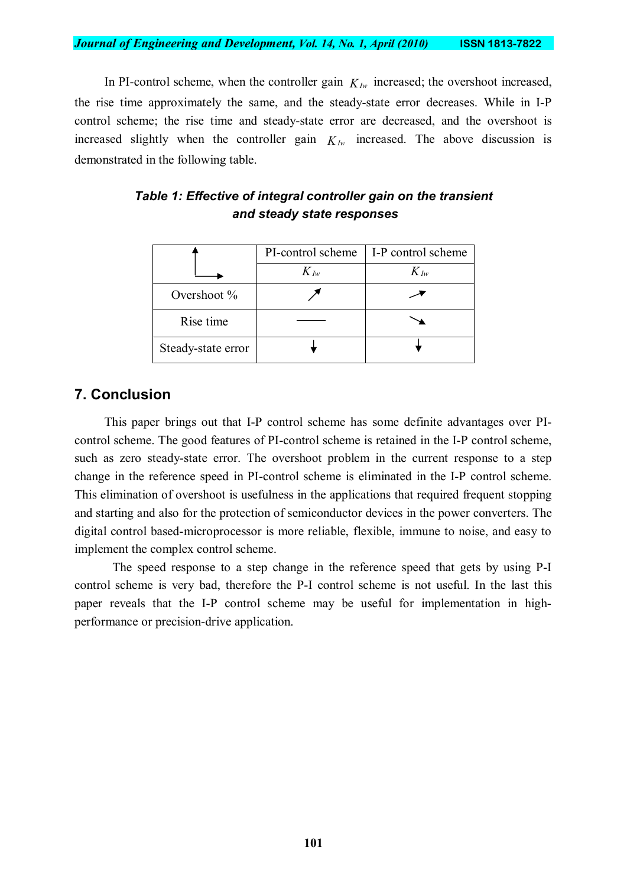In PI-control scheme, when the controller gain  $K_{Iw}$  increased; the overshoot increased, the rise time approximately the same, and the steady-state error decreases. While in I-P control scheme; the rise time and steady-state error are decreased, and the overshoot is increased slightly when the controller gain  $K_{Iw}$  increased. The above discussion is demonstrated in the following table.

|                    | PI-control scheme | I-P control scheme |
|--------------------|-------------------|--------------------|
|                    | $K_{Iw}$          | $K_{Iw}$           |
| Overshoot $\%$     |                   |                    |
| Rise time          |                   |                    |
| Steady-state error |                   |                    |

## *Table 1: Effective of integral controller gain on the transient and steady state responses*

## **7. Conclusion**

This paper brings out that I-P control scheme has some definite advantages over PIcontrol scheme. The good features of PI-control scheme is retained in the I-P control scheme, such as zero steady-state error. The overshoot problem in the current response to a step change in the reference speed in PI-control scheme is eliminated in the I-P control scheme. This elimination of overshoot is usefulness in the applications that required frequent stopping and starting and also for the protection of semiconductor devices in the power converters. The digital control based-microprocessor is more reliable, flexible, immune to noise, and easy to implement the complex control scheme.

The speed response to a step change in the reference speed that gets by using P-I control scheme is very bad, therefore the P-I control scheme is not useful. In the last this paper reveals that the I-P control scheme may be useful for implementation in highperformance or precision-drive application.